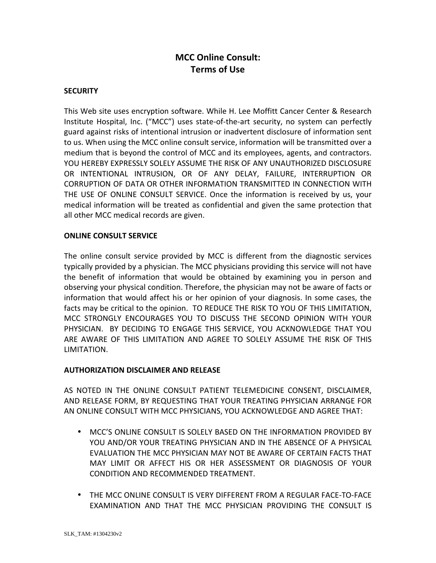# **MCC Online Consult: Terms of Use**

### **SECURITY**

This Web site uses encryption software. While H. Lee Moffitt Cancer Center & Research Institute Hospital, Inc. ("MCC") uses state-of-the-art security, no system can perfectly guard against risks of intentional intrusion or inadvertent disclosure of information sent to us. When using the MCC online consult service, information will be transmitted over a medium that is beyond the control of MCC and its employees, agents, and contractors. YOU HEREBY EXPRESSLY SOLELY ASSUME THE RISK OF ANY UNAUTHORIZED DISCLOSURE OR INTENTIONAL INTRUSION, OR OF ANY DELAY, FAILURE, INTERRUPTION OR CORRUPTION OF DATA OR OTHER INFORMATION TRANSMITTED IN CONNECTION WITH THE USE OF ONLINE CONSULT SERVICE. Once the information is received by us, your medical information will be treated as confidential and given the same protection that all other MCC medical records are given.

#### **ONLINE CONSULT SERVICE**

The online consult service provided by MCC is different from the diagnostic services typically provided by a physician. The MCC physicians providing this service will not have the benefit of information that would be obtained by examining you in person and observing your physical condition. Therefore, the physician may not be aware of facts or information that would affect his or her opinion of your diagnosis. In some cases, the facts may be critical to the opinion. TO REDUCE THE RISK TO YOU OF THIS LIMITATION, MCC STRONGLY ENCOURAGES YOU TO DISCUSS THE SECOND OPINION WITH YOUR PHYSICIAN. BY DECIDING TO ENGAGE THIS SERVICE, YOU ACKNOWLEDGE THAT YOU ARE AWARE OF THIS LIMITATION AND AGREE TO SOLELY ASSUME THE RISK OF THIS LIMITATION.

#### **AUTHORIZATION DISCLAIMER AND RELEASE**

AS NOTED IN THE ONLINE CONSULT PATIENT TELEMEDICINE CONSENT, DISCLAIMER, AND RELEASE FORM, BY REQUESTING THAT YOUR TREATING PHYSICIAN ARRANGE FOR AN ONLINE CONSULT WITH MCC PHYSICIANS, YOU ACKNOWLEDGE AND AGREE THAT:

- MCC'S ONLINE CONSULT IS SOLELY BASED ON THE INFORMATION PROVIDED BY YOU AND/OR YOUR TREATING PHYSICIAN AND IN THE ABSENCE OF A PHYSICAL EVALUATION THE MCC PHYSICIAN MAY NOT BE AWARE OF CERTAIN FACTS THAT MAY LIMIT OR AFFECT HIS OR HER ASSESSMENT OR DIAGNOSIS OF YOUR CONDITION AND RECOMMENDED TREATMENT.
- THE MCC ONLINE CONSULT IS VERY DIFFERENT FROM A REGULAR FACE-TO-FACE EXAMINATION AND THAT THE MCC PHYSICIAN PROVIDING THE CONSULT IS